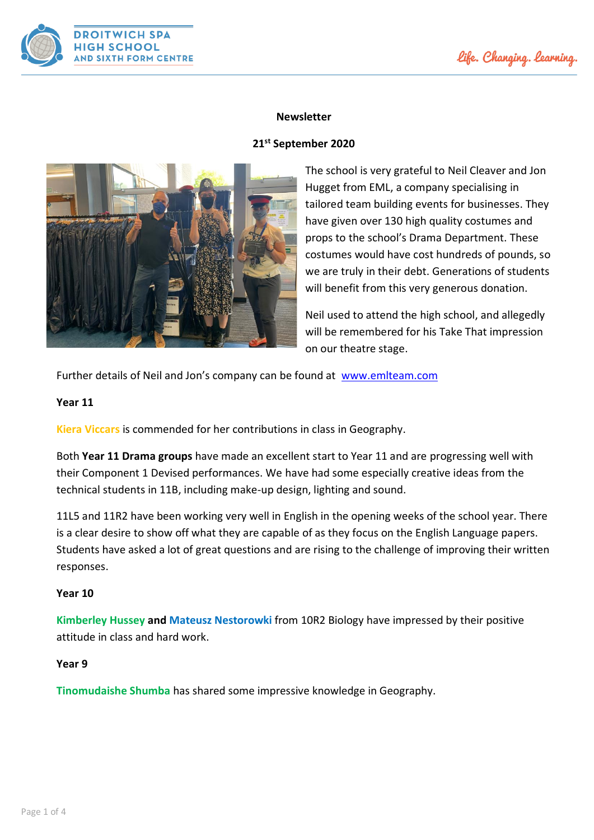# **Newsletter**

## **21st September 2020**

The school is very grateful to Neil Cleaver and Jon Hugget from EML, a company specialising in tailored team building events for businesses. They have given over 130 high quality costumes and props to the school's Drama Department. These costumes would have cost hundreds of pounds, so we are truly in their debt. Generations of students will benefit from this very generous donation.

Neil used to attend the high school, and allegedly will be remembered for his Take That impression on our theatre stage.

Further details of Neil and Jon's company can be found at [www.emlteam.com](http://www.emlteam.com/)

## **Year 11**

**Kiera Viccars** is commended for her contributions in class in Geography.

Both **Year 11 Drama groups** have made an excellent start to Year 11 and are progressing well with their Component 1 Devised performances. We have had some especially creative ideas from the technical students in 11B, including make-up design, lighting and sound.

11L5 and 11R2 have been working very well in English in the opening weeks of the school year. There is a clear desire to show off what they are capable of as they focus on the English Language papers. Students have asked a lot of great questions and are rising to the challenge of improving their written responses.

## **Year 10**

**Kimberley Hussey and Mateusz Nestorowki** from 10R2 Biology have impressed by their positive attitude in class and hard work.

## **Year 9**

**Tinomudaishe Shumba** has shared some impressive knowledge in Geography.



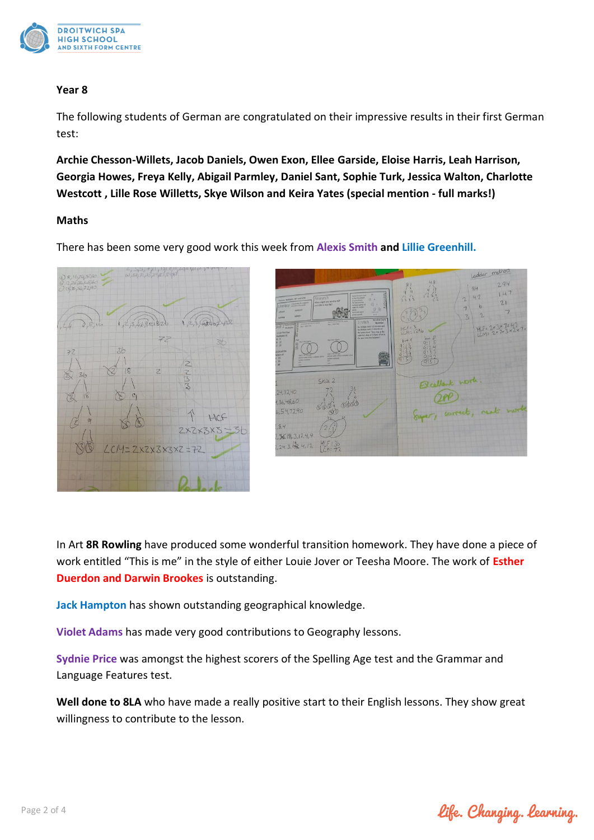

### **Year 8**

The following students of German are congratulated on their impressive results in their first German test:

**Archie Chesson-Willets, Jacob Daniels, Owen Exon, Ellee Garside, Eloise Harris, Leah Harrison, Georgia Howes, Freya Kelly, Abigail Parmley, Daniel Sant, Sophie Turk, Jessica Walton, Charlotte Westcott , Lille Rose Willetts, Skye Wilson and Keira Yates (special mention - full marks!)**

#### **Maths**

There has been some very good work this week from **Alexis Smith and Lillie Greenhill.**





In Art **8R Rowling** have produced some wonderful transition homework. They have done a piece of work entitled "This is me" in the style of either Louie Jover or Teesha Moore. The work of **Esther Duerdon and Darwin Brookes** is outstanding.

**Jack Hampton** has shown outstanding geographical knowledge.

**Violet Adams** has made very good contributions to Geography lessons.

**Sydnie Price** was amongst the highest scorers of the Spelling Age test and the Grammar and Language Features test.

**Well done to 8LA** who have made a really positive start to their English lessons. They show great willingness to contribute to the lesson.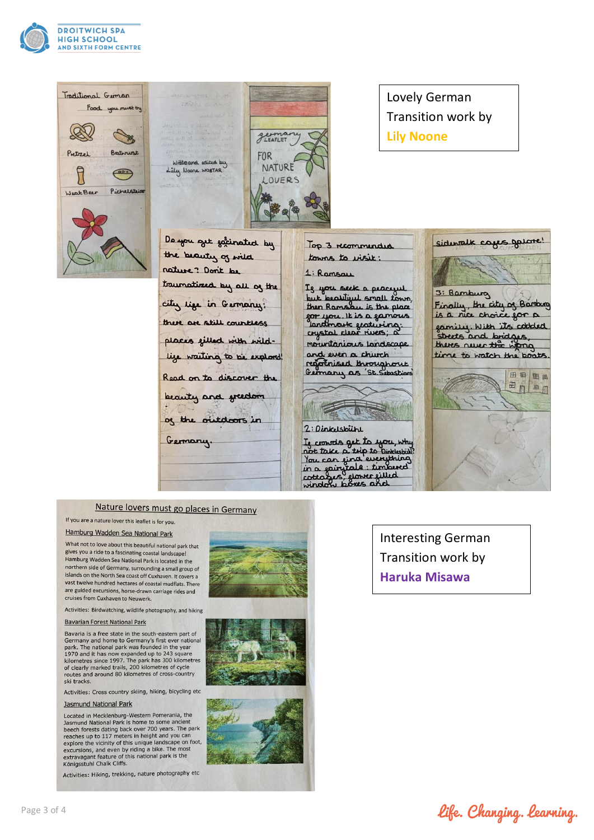



# Nature lovers must go places in Germany

#### If you are a nature lover this leaflet is for you. Hamburg Wadden Sea National Park

What not to love about this beautiful national park that gives you a ride to a fascinating coastal landscape! Hamburg Wadden Sea National Park is located in the northern side of Germany, surrounding a small group of islands on the North Sea coast off Cuxhaven. It covers a vast twelve hundred hectares of coastal mudflats. There are guided excursions, horse-drawn carriage rides and

Activities: Birdwatching, wildlife photography, and hiking

#### **Bavarian Forest National Park**

cruises from Cuxhaven to Neuwerk

Bavaria is a free state in the south-eastern part of Bavaria is a free state in the south-eastern part of<br>Germany and home to Germany's first ever national<br>park. The national park was founded in the year<br>1970 and it has now expanded up to 243 square<br>kliometres since 1997. Th

Activities: Cross country skiing, hiking, bicycling etc

#### **Jasmund National Park**

Located in Mecklenburg-Western Pomerania, the Located in metchemotive western Fourthand Ray<br>beech forests dating back over 700 years. The park<br>beech forests dating back over 700 years. The park<br>reaches up to 117 meters in height and you can<br>explore the vicinity of thi explore the name, or by riding a bike. The most<br>extravagant feature of this national park is the Königsstuhl Chalk Cliffs.

Activities: Hiking, trekking, nature photography etc







**Interesting German** Transition work by Haruka Misawa